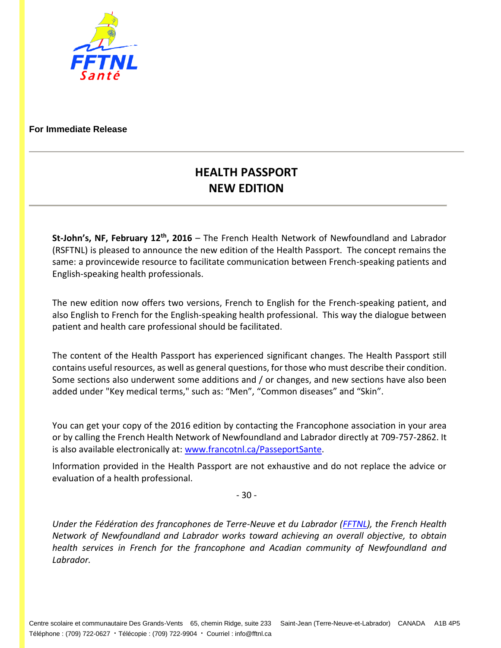

## **For Immediate Release**

## **HEALTH PASSPORT NEW EDITION**

**St-John's, NF, February 12th , 2016** – The French Health Network of Newfoundland and Labrador (RSFTNL) is pleased to announce the new edition of the Health Passport. The concept remains the same: a provincewide resource to facilitate communication between French-speaking patients and English-speaking health professionals.

The new edition now offers two versions, French to English for the French-speaking patient, and also English to French for the English-speaking health professional. This way the dialogue between patient and health care professional should be facilitated.

The content of the Health Passport has experienced significant changes. The Health Passport still contains useful resources, as well as general questions, for those who must describe their condition. Some sections also underwent some additions and / or changes, and new sections have also been added under "Key medical terms," such as: "Men", "Common diseases" and "Skin".

You can get your copy of the 2016 edition by contacting the Francophone association in your area or by calling the French Health Network of Newfoundland and Labrador directly at 709-757-2862. It is also available electronically at[: www.francotnl.ca/PasseportSante.](http://www.francotnl.ca/PasseportSante)

Information provided in the Health Passport are not exhaustive and do not replace the advice or evaluation of a health professional.

- 30 -

*Under the Fédération des francophones de Terre-Neuve et du Labrador [\(FFTNL\)](http://www.francotnl.ca/fftnl), the French Health Network of Newfoundland and Labrador works toward achieving an overall objective, to obtain health services in French for the francophone and Acadian community of Newfoundland and Labrador.*